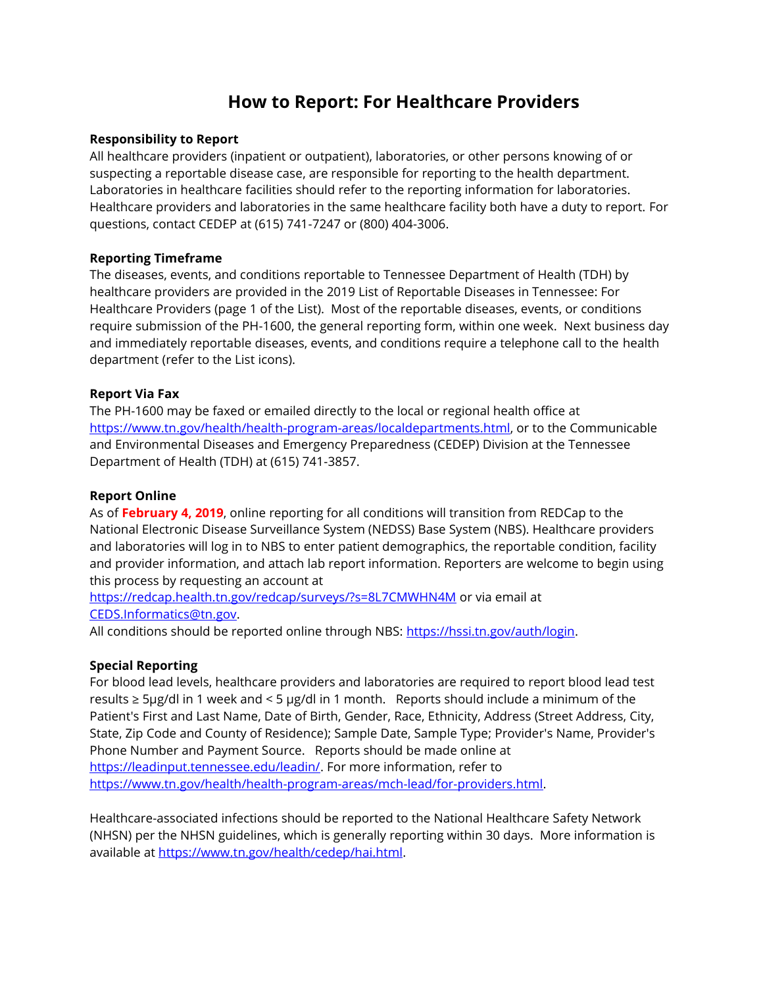# **How to Report: For Healthcare Providers**

### **Responsibility to Report**

All healthcare providers (inpatient or outpatient), laboratories, or other persons knowing of or suspecting a reportable disease case, are responsible for reporting to the health department. Laboratories in healthcare facilities should refer to the reporting information for laboratories. Healthcare providers and laboratories in the same healthcare facility both have a duty to report. For questions, contact CEDEP at (615) 741-7247 or (800) 404-3006.

## **Reporting Timeframe**

The diseases, events, and conditions reportable to Tennessee Department of Health (TDH) by healthcare providers are provided in the 2019 List of Reportable Diseases in Tennessee: For Healthcare Providers (page 1 of the List). Most of the reportable diseases, events, or conditions require submission of the PH-1600, the general reporting form, within one week. Next business day and immediately reportable diseases, events, and conditions require a telephone call to the health department (refer to the List icons).

## **Report Via Fax**

The PH-1600 may be faxed or emailed directly to the local or regional health office at [https://www.tn.gov/health/health-program-areas/localdepartments.html,](https://www.tn.gov/health/health-program-areas/localdepartments.html) or to the Communicable and Environmental Diseases and Emergency Preparedness (CEDEP) Division at the Tennessee Department of Health (TDH) at (615) 741-3857.

### **Report Online**

As of **February 4, 2019**, online reporting for all conditions will transition from REDCap to the National Electronic Disease Surveillance System (NEDSS) Base System (NBS). Healthcare providers and laboratories will log in to NBS to enter patient demographics, the reportable condition, facility and provider information, and attach lab report information. Reporters are welcome to begin using this process by requesting an account at

<https://redcap.health.tn.gov/redcap/surveys/?s=8L7CMWHN4M> or via email at [CEDS.Informatics@tn.gov.](mailto:CEDS.Informatics@tn.gov)

All conditions should be reported online through NBS: [https://hssi.tn.gov/auth/login.](https://hssi.tn.gov/auth/login)

### **Special Reporting**

For blood lead levels, healthcare providers and laboratories are required to report blood lead test results ≥ 5μg/dl in 1 week and < 5 μg/dl in 1 month. Reports should include a minimum of the Patient's First and Last Name, Date of Birth, Gender, Race, Ethnicity, Address (Street Address, City, State, Zip Code and County of Residence); Sample Date, Sample Type; Provider's Name, Provider's Phone Number and Payment Source. Reports should be made online at [https://leadinput.tennessee.edu/leadin/.](https://leadinput.tennessee.edu/leadin/) For more information, refer to [https://www.tn.gov/health/health-program-areas/mch-lead/for-providers.html.](https://www.tn.gov/health/health-program-areas/mch-lead/for-providers.html)

Healthcare-associated infections should be reported to the National Healthcare Safety Network (NHSN) per the NHSN guidelines, which is generally reporting within 30 days. More information is available at [https://www.tn.gov/health/cedep/hai.html.](https://www.tn.gov/health/cedep/hai.html)